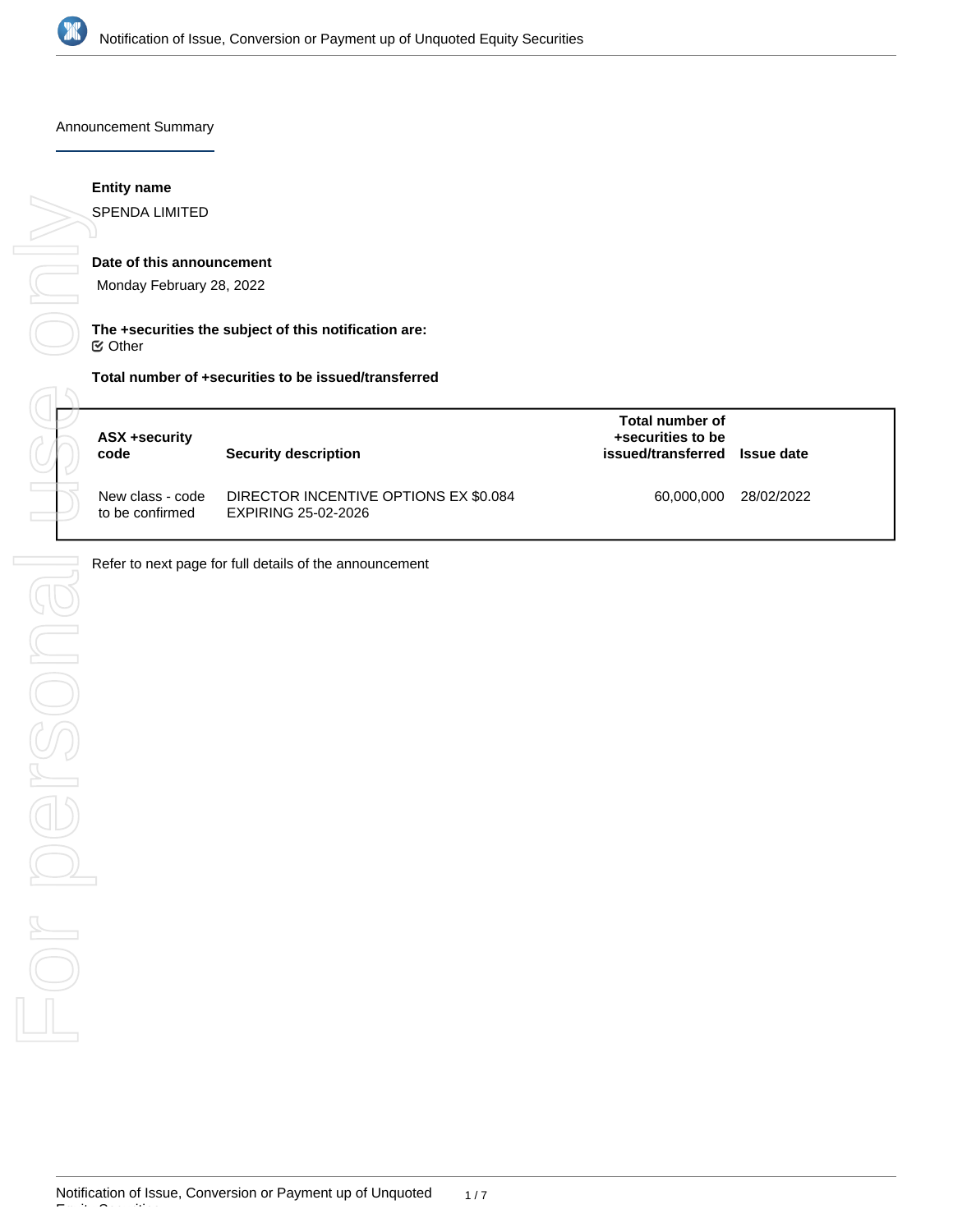

Announcement Summary

# **Entity name**

SPENDA LIMITED

# **Date of this announcement**

Monday February 28, 2022

## **The +securities the subject of this notification are:** Other

| ASX +security<br>code               | <b>Security description</b>                                  | Total number of<br>+securities to be<br>issued/transferred Issue date |            |
|-------------------------------------|--------------------------------------------------------------|-----------------------------------------------------------------------|------------|
| New class - code<br>to be confirmed | DIRECTOR INCENTIVE OPTIONS EX \$0.084<br>EXPIRING 25-02-2026 | 60,000,000                                                            | 28/02/2022 |

Refer to next page for full details of the announcement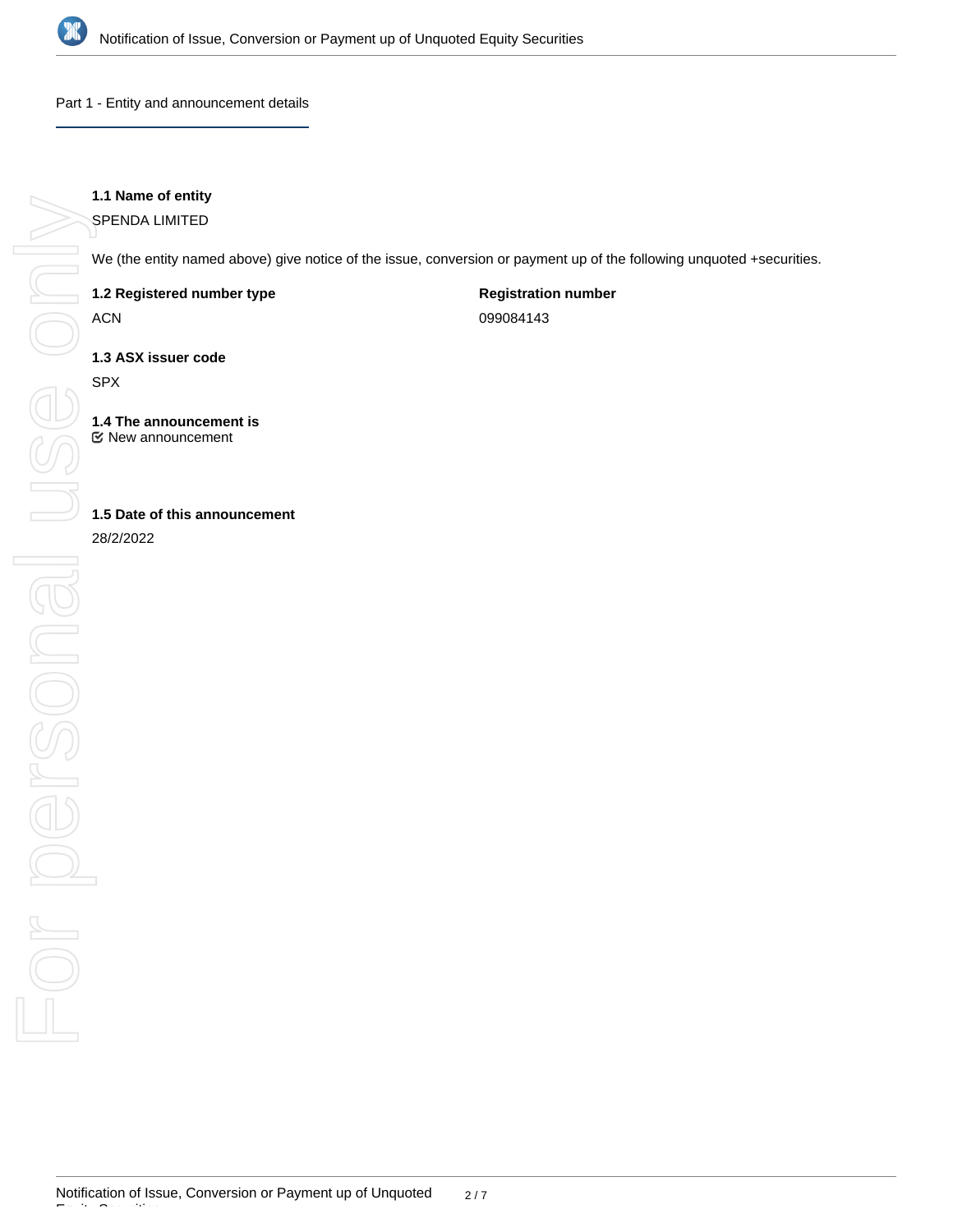

Part 1 - Entity and announcement details

# **1.1 Name of entity**

SPENDA LIMITED

We (the entity named above) give notice of the issue, conversion or payment up of the following unquoted +securities.

**1.2 Registered number type**

ACN

**Registration number**

099084143

**1.3 ASX issuer code**

SPX

**1.4 The announcement is** New announcement

**1.5 Date of this announcement**

28/2/2022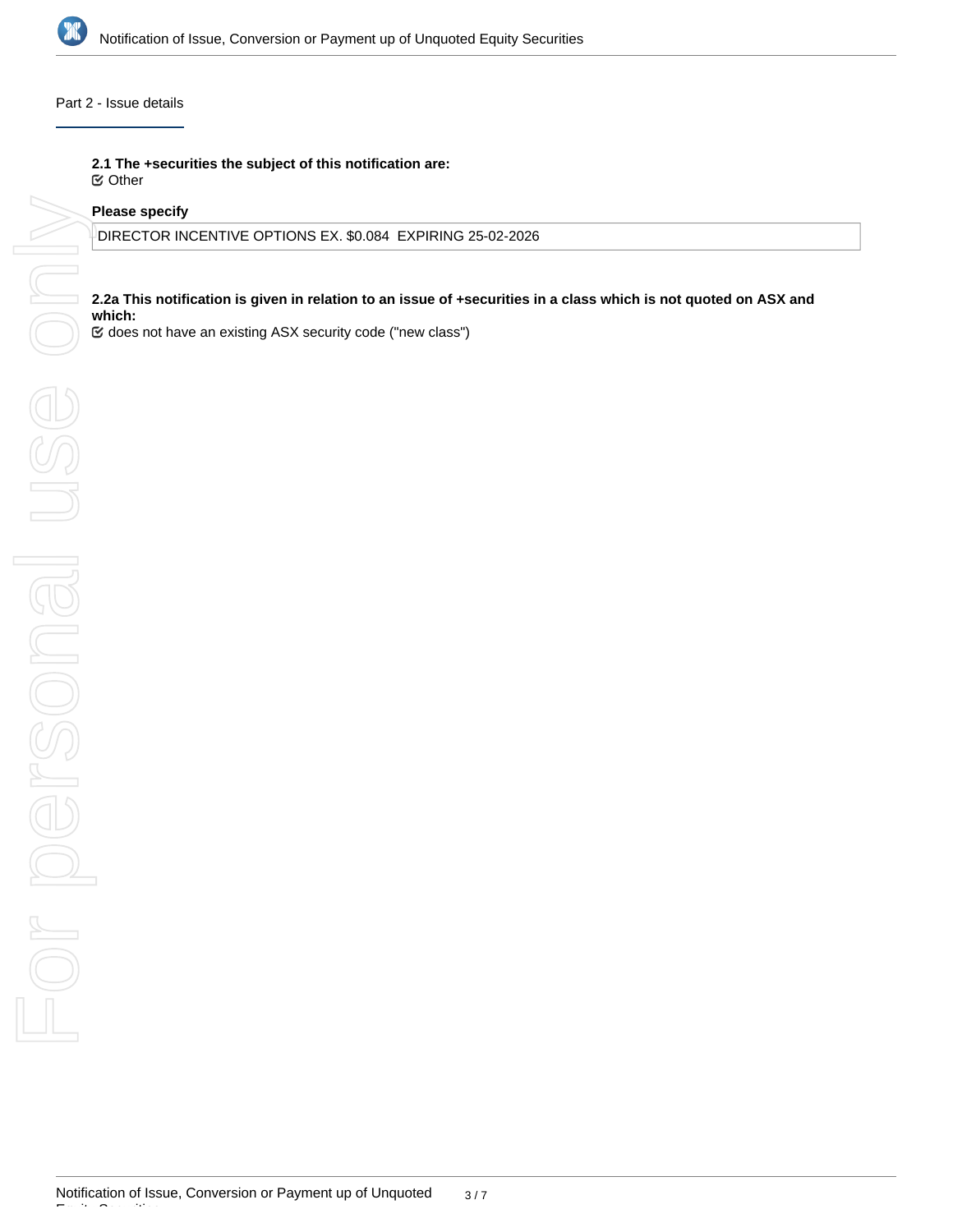

# Part 2 - Issue details

**2.1 The +securities the subject of this notification are:**

Other

# **Please specify**

DIRECTOR INCENTIVE OPTIONS EX. \$0.084 EXPIRING 25-02-2026

**2.2a This notification is given in relation to an issue of +securities in a class which is not quoted on ASX and which:**

does not have an existing ASX security code ("new class")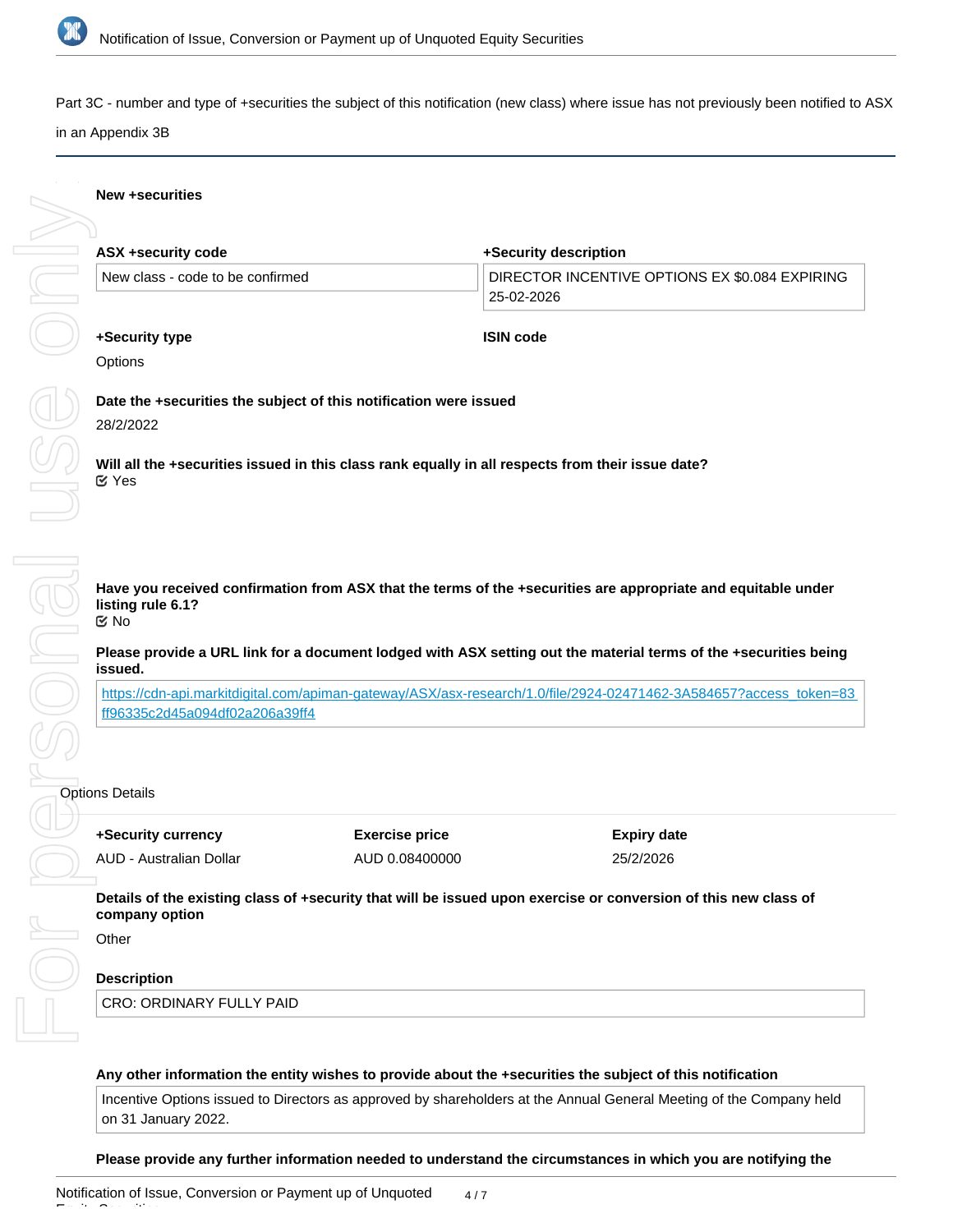

Part 3C - number and type of +securities the subject of this notification (new class) where issue has not previously been notified to ASX in an Appendix 3B

# **New +securities**

| ASX +security code                                                                                                                  |                                                                                                   | +Security description                                                                                                                                                                                                                                                                                                                                    |
|-------------------------------------------------------------------------------------------------------------------------------------|---------------------------------------------------------------------------------------------------|----------------------------------------------------------------------------------------------------------------------------------------------------------------------------------------------------------------------------------------------------------------------------------------------------------------------------------------------------------|
| New class - code to be confirmed                                                                                                    | 25-02-2026                                                                                        | DIRECTOR INCENTIVE OPTIONS EX \$0.084 EXPIRING                                                                                                                                                                                                                                                                                                           |
| +Security type                                                                                                                      | <b>ISIN code</b>                                                                                  |                                                                                                                                                                                                                                                                                                                                                          |
| Options                                                                                                                             |                                                                                                   |                                                                                                                                                                                                                                                                                                                                                          |
|                                                                                                                                     | Date the +securities the subject of this notification were issued                                 |                                                                                                                                                                                                                                                                                                                                                          |
| 28/2/2022                                                                                                                           |                                                                                                   |                                                                                                                                                                                                                                                                                                                                                          |
| <b>⊘</b> Yes                                                                                                                        | Will all the +securities issued in this class rank equally in all respects from their issue date? |                                                                                                                                                                                                                                                                                                                                                          |
|                                                                                                                                     |                                                                                                   | Have you received confirmation from ASX that the terms of the +securities are appropriate and equitable under                                                                                                                                                                                                                                            |
|                                                                                                                                     |                                                                                                   |                                                                                                                                                                                                                                                                                                                                                          |
|                                                                                                                                     |                                                                                                   |                                                                                                                                                                                                                                                                                                                                                          |
|                                                                                                                                     |                                                                                                   |                                                                                                                                                                                                                                                                                                                                                          |
|                                                                                                                                     |                                                                                                   |                                                                                                                                                                                                                                                                                                                                                          |
|                                                                                                                                     |                                                                                                   |                                                                                                                                                                                                                                                                                                                                                          |
| listing rule 6.1?<br>$\mathfrak{S}$ No<br>issued.<br>ff96335c2d45a094df02a206a39ff4<br><b>Options Details</b><br>+Security currency | <b>Exercise price</b>                                                                             | <b>Expiry date</b>                                                                                                                                                                                                                                                                                                                                       |
| AUD - Australian Dollar                                                                                                             | AUD 0.08400000                                                                                    | 25/2/2026                                                                                                                                                                                                                                                                                                                                                |
| company option                                                                                                                      |                                                                                                   |                                                                                                                                                                                                                                                                                                                                                          |
| Other                                                                                                                               |                                                                                                   |                                                                                                                                                                                                                                                                                                                                                          |
| <b>Description</b>                                                                                                                  |                                                                                                   | Please provide a URL link for a document lodged with ASX setting out the material terms of the +securities being<br>https://cdn-api.markitdigital.com/apiman-gateway/ASX/asx-research/1.0/file/2924-02471462-3A584657?access_token=83<br>Details of the existing class of +security that will be issued upon exercise or conversion of this new class of |

## **+Security type**

# **Date the +securities the subject of this notification were issued**

#### 28/2/2022

# Options Details

#### **Description**

#### **Any other information the entity wishes to provide about the +securities the subject of this notification**

Incentive Options issued to Directors as approved by shareholders at the Annual General Meeting of the Company held on 31 January 2022.

**Please provide any further information needed to understand the circumstances in which you are notifying the issue of these +securities to ASX, including why the issue of the +securities has not been previously announced to**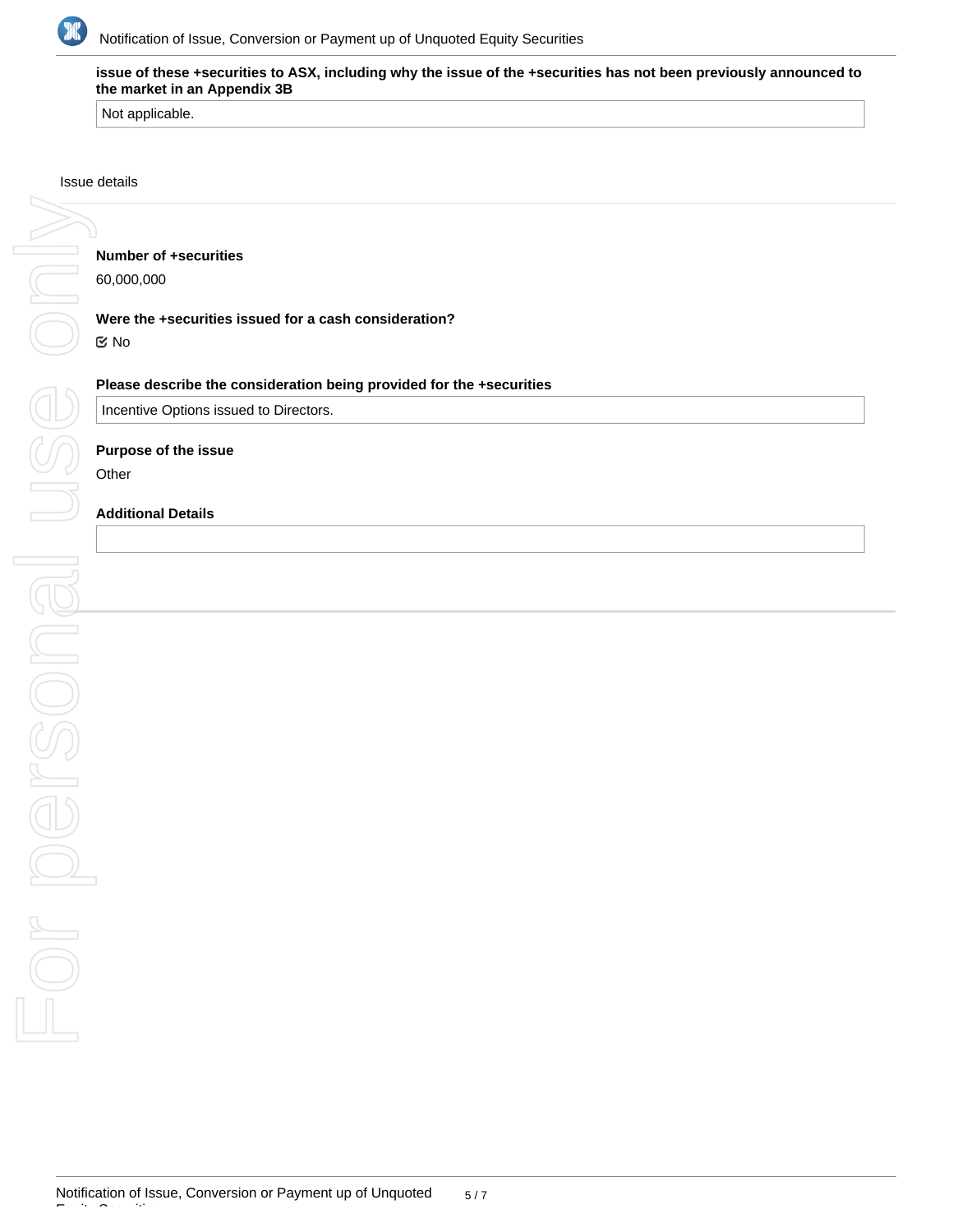

**issue of these +securities to ASX, including why the issue of the +securities has not been previously announced to the market in an Appendix 3B**

Not applicable.

#### Issue details

60,000,000

# **Were the +securities issued for a cash consideration?**

## No

# **Please describe the consideration being provided for the +securities**

Incentive Options issued to Directors.

# **Purpose of the issue**

**Other** 

# **Additional Details**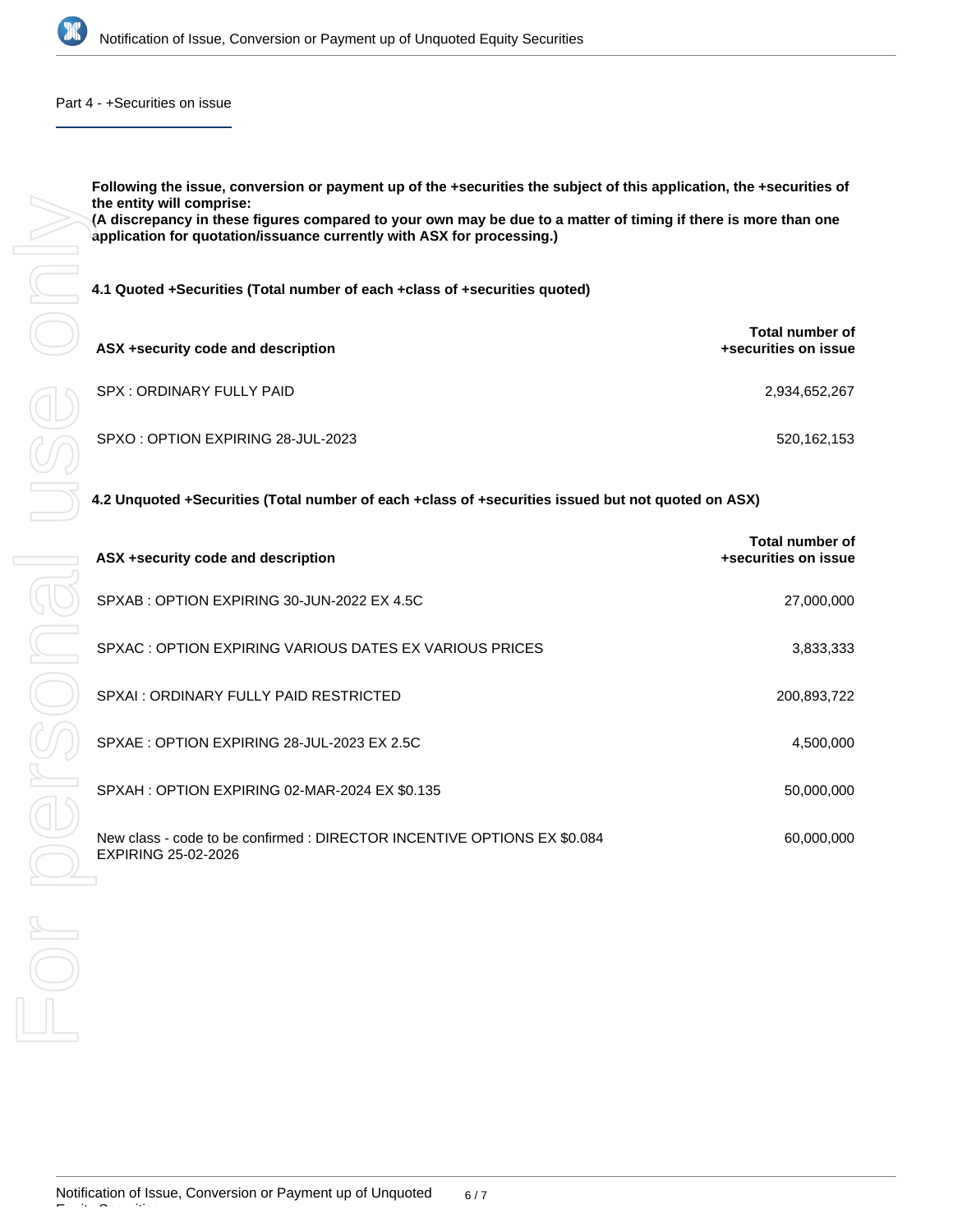

#### Part 4 - +Securities on issue

**Following the issue, conversion or payment up of the +securities the subject of this application, the +securities of the entity will comprise:**

**(A discrepancy in these figures compared to your own may be due to a matter of timing if there is more than one application for quotation/issuance currently with ASX for processing.)**

#### **4.1 Quoted +Securities (Total number of each +class of +securities quoted)**

| ASX +security code and description | <b>Total number of</b><br>+securities on issue |
|------------------------------------|------------------------------------------------|
| SPX: ORDINARY FULLY PAID           | 2,934,652,267                                  |
| SPXO: OPTION EXPIRING 28-JUL-2023  | 520, 162, 153                                  |

#### **4.2 Unquoted +Securities (Total number of each +class of +securities issued but not quoted on ASX)**

| ASX +security code and description                                                              | <b>Total number of</b><br>+securities on issue |
|-------------------------------------------------------------------------------------------------|------------------------------------------------|
| SPXAB: OPTION EXPIRING 30-JUN-2022 EX 4.5C                                                      | 27,000,000                                     |
| SPXAC : OPTION EXPIRING VARIOUS DATES EX VARIOUS PRICES                                         | 3,833,333                                      |
| SPXAI: ORDINARY FULLY PAID RESTRICTED                                                           | 200,893,722                                    |
| SPXAE: OPTION EXPIRING 28-JUL-2023 EX 2.5C                                                      | 4,500,000                                      |
| SPXAH : OPTION EXPIRING 02-MAR-2024 EX \$0.135                                                  | 50,000,000                                     |
| New class - code to be confirmed : DIRECTOR INCENTIVE OPTIONS EX \$0.084<br>EXPIRING 25-02-2026 | 60,000,000                                     |